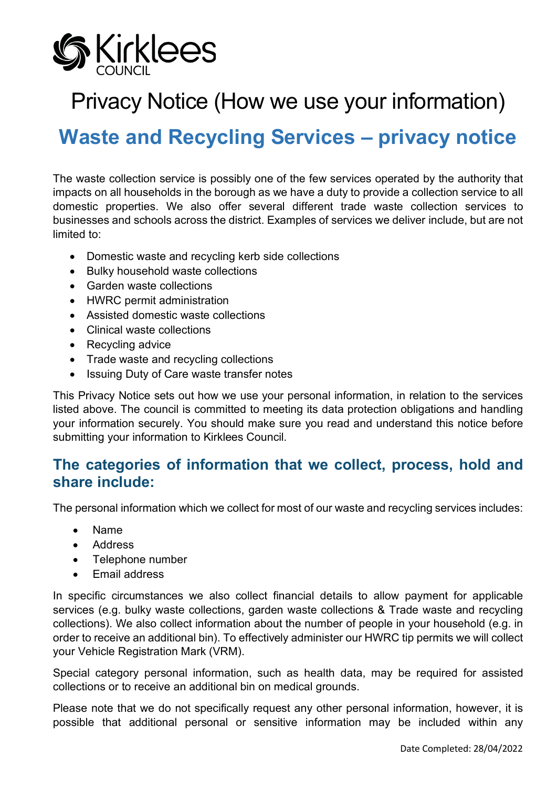

# Privacy Notice (How we use your information)

# **Waste and Recycling Services – privacy notice**

The waste collection service is possibly one of the few services operated by the authority that impacts on all households in the borough as we have a duty to provide a collection service to all domestic properties. We also offer several different trade waste collection services to businesses and schools across the district. Examples of services we deliver include, but are not limited to:

- Domestic waste and recycling kerb side collections
- Bulky household waste collections
- Garden waste collections
- HWRC permit administration
- Assisted domestic waste collections
- Clinical waste collections
- Recycling advice
- Trade waste and recycling collections
- Issuing Duty of Care waste transfer notes

This Privacy Notice sets out how we use your personal information, in relation to the services listed above. The council is committed to meeting its data protection obligations and handling your information securely. You should make sure you read and understand this notice before submitting your information to Kirklees Council.

#### **The categories of information that we collect, process, hold and share include:**

The personal information which we collect for most of our waste and recycling services includes:

- Name
- Address
- Telephone number
- Email address

In specific circumstances we also collect financial details to allow payment for applicable services (e.g. bulky waste collections, garden waste collections & Trade waste and recycling collections). We also collect information about the number of people in your household (e.g. in order to receive an additional bin). To effectively administer our HWRC tip permits we will collect your Vehicle Registration Mark (VRM).

Special category personal information, such as health data, may be required for assisted collections or to receive an additional bin on medical grounds.

Please note that we do not specifically request any other personal information, however, it is possible that additional personal or sensitive information may be included within any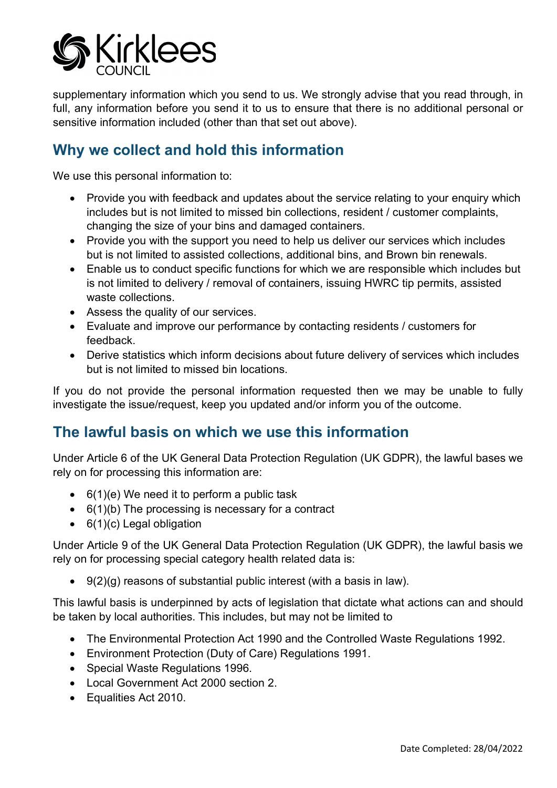

supplementary information which you send to us. We strongly advise that you read through. in full, any information before you send it to us to ensure that there is no additional personal or sensitive information included (other than that set out above).

#### **Why we collect and hold this information**

We use this personal information to:

- Provide you with feedback and updates about the service relating to your enquiry which includes but is not limited to missed bin collections, resident / customer complaints, changing the size of your bins and damaged containers.
- Provide you with the support you need to help us deliver our services which includes but is not limited to assisted collections, additional bins, and Brown bin renewals.
- Enable us to conduct specific functions for which we are responsible which includes but is not limited to delivery / removal of containers, issuing HWRC tip permits, assisted waste collections.
- Assess the quality of our services.
- Evaluate and improve our performance by contacting residents / customers for feedback.
- Derive statistics which inform decisions about future delivery of services which includes but is not limited to missed bin locations.

If you do not provide the personal information requested then we may be unable to fully investigate the issue/request, keep you updated and/or inform you of the outcome.

#### **The lawful basis on which we use this information**

Under Article 6 of the UK General Data Protection Regulation (UK GDPR), the lawful bases we rely on for processing this information are:

- $\bullet$  6(1)(e) We need it to perform a public task
- $\bullet$  6(1)(b) The processing is necessary for a contract
- 6(1)(c) Legal obligation

Under Article 9 of the UK General Data Protection Regulation (UK GDPR), the lawful basis we rely on for processing special category health related data is:

 $\bullet$  9(2)(g) reasons of substantial public interest (with a basis in law).

This lawful basis is underpinned by acts of legislation that dictate what actions can and should be taken by local authorities. This includes, but may not be limited to

- The Environmental Protection Act 1990 and the Controlled Waste Regulations 1992.
- Environment Protection (Duty of Care) Regulations 1991.
- Special Waste Regulations 1996.
- Local Government Act 2000 section 2.
- Equalities Act 2010.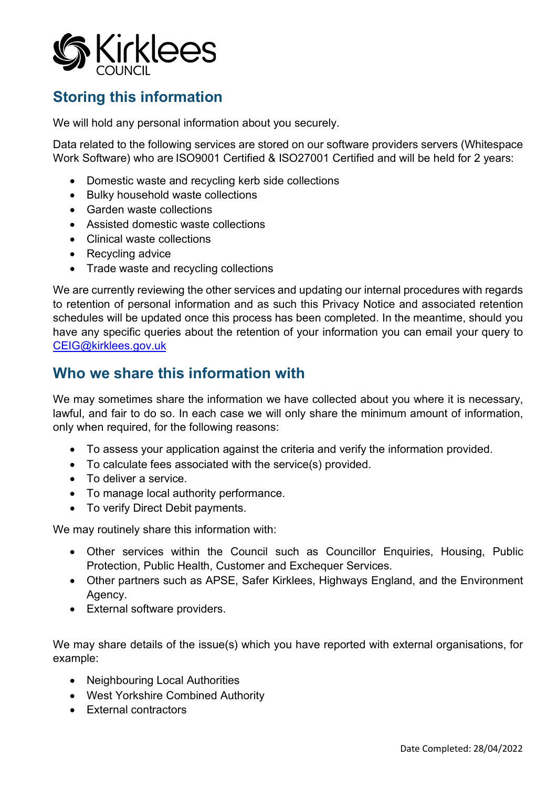

## **Storing this information**

We will hold any personal information about you securely.

Data related to the following services are stored on our software providers servers (Whitespace Work Software) who are ISO9001 Certified & ISO27001 Certified and will be held for 2 years:

- Domestic waste and recycling kerb side collections
- Bulky household waste collections
- Garden waste collections
- Assisted domestic waste collections
- Clinical waste collections
- Recycling advice
- Trade waste and recycling collections

We are currently reviewing the other services and updating our internal procedures with regards to retention of personal information and as such this Privacy Notice and associated retention schedules will be updated once this process has been completed. In the meantime, should you have any specific queries about the retention of your information you can email your query to [CEIG@kirklees.gov.uk](mailto:CEIG@kirklees.gov.uk)

### **Who we share this information with**

We may sometimes share the information we have collected about you where it is necessary, lawful, and fair to do so. In each case we will only share the minimum amount of information, only when required, for the following reasons:

- To assess your application against the criteria and verify the information provided.
- To calculate fees associated with the service(s) provided.
- To deliver a service.
- To manage local authority performance.
- To verify Direct Debit payments.

We may routinely share this information with:

- Other services within the Council such as Councillor Enquiries, Housing, Public Protection, Public Health, Customer and Exchequer Services.
- Other partners such as APSE, Safer Kirklees, Highways England, and the Environment Agency.
- External software providers.

We may share details of the issue(s) which you have reported with external organisations, for example:

- Neighbouring Local Authorities
- West Yorkshire Combined Authority
- External contractors